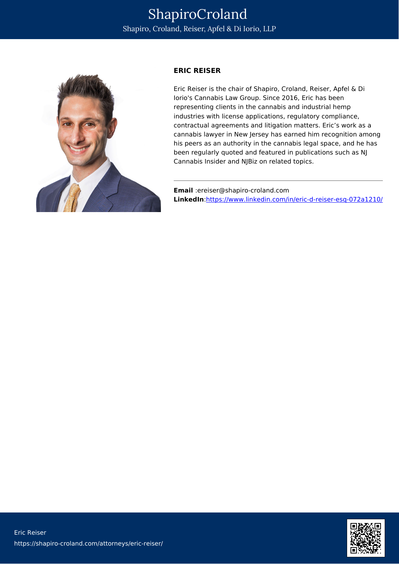

## **ERIC REISER**

Eric Reiser is the chair of Shapiro, Croland, Reiser, Apfel & Di Iorio's Cannabis Law Group. Since 2016, Eric has been representing clients in the cannabis and industrial hemp industries with license applications, regulatory compliance, contractual agreements and litigation matters. Eric's work as a cannabis lawyer in New Jersey has earned him recognition among his peers as an authority in the cannabis legal space, and he has been regularly quoted and featured in publications such as NJ Cannabis Insider and NJBiz on related topics.

**Email** :ereiser@shapiro-croland.com **LinkedIn**:<https://www.linkedin.com/in/eric-d-reiser-esq-072a1210/>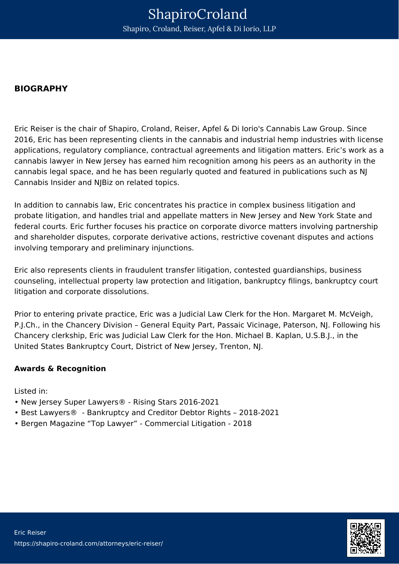## **BIOGRAPHY**

Eric Reiser is the chair of Shapiro, Croland, Reiser, Apfel & Di Iorio's Cannabis Law Group. Since 2016, Eric has been representing clients in the cannabis and industrial hemp industries with license applications, regulatory compliance, contractual agreements and litigation matters. Eric's work as a cannabis lawyer in New Jersey has earned him recognition among his peers as an authority in the cannabis legal space, and he has been regularly quoted and featured in publications such as NJ Cannabis Insider and NJBiz on related topics.

In addition to cannabis law, Eric concentrates his practice in complex business litigation and probate litigation, and handles trial and appellate matters in New Jersey and New York State and federal courts. Eric further focuses his practice on corporate divorce matters involving partnership and shareholder disputes, corporate derivative actions, restrictive covenant disputes and actions involving temporary and preliminary injunctions.

Eric also represents clients in fraudulent transfer litigation, contested guardianships, business counseling, intellectual property law protection and litigation, bankruptcy filings, bankruptcy court litigation and corporate dissolutions.

Prior to entering private practice, Eric was a Judicial Law Clerk for the Hon. Margaret M. McVeigh, P.J.Ch., in the Chancery Division – General Equity Part, Passaic Vicinage, Paterson, NJ. Following his Chancery clerkship, Eric was Judicial Law Clerk for the Hon. Michael B. Kaplan, U.S.B.J., in the United States Bankruptcy Court, District of New Jersey, Trenton, NJ.

## **Awards & Recognition**

Listed in:

- New Jersey Super Lawyers® Rising Stars 2016-2021
- Best Lawyers® Bankruptcy and Creditor Debtor Rights 2018-2021
- Bergen Magazine "Top Lawyer" Commercial Litigation 2018

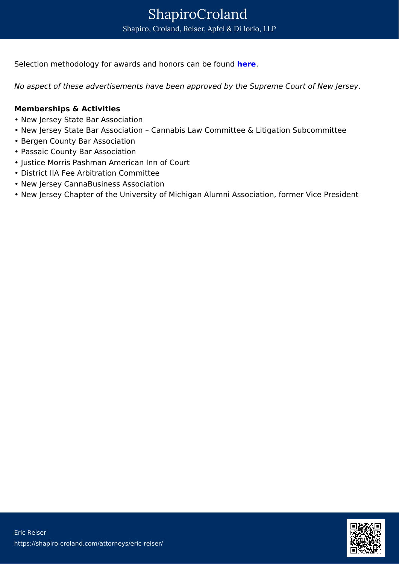Selection methodology for awards and honors can be found **[here](https://cannabislawyers.io/disclaimer)**.

No aspect of these advertisements have been approved by the Supreme Court of New Jersey.

## **Memberships & Activities**

- New Jersey State Bar Association
- New Jersey State Bar Association Cannabis Law Committee & Litigation Subcommittee
- Bergen County Bar Association
- Passaic County Bar Association
- Justice Morris Pashman American Inn of Court
- District IIA Fee Arbitration Committee
- New Jersey CannaBusiness Association
- New Jersey Chapter of the University of Michigan Alumni Association, former Vice President